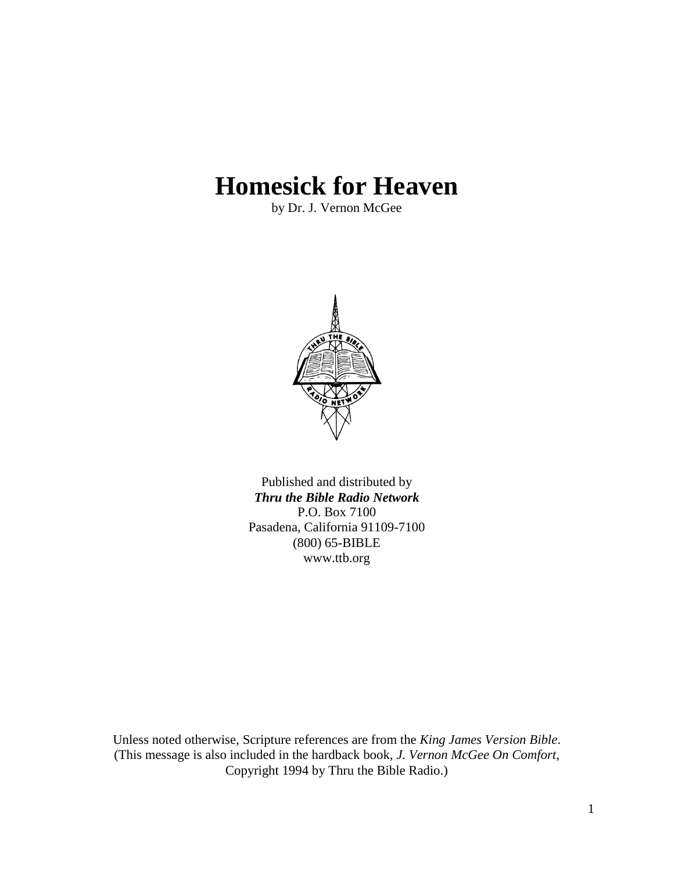# **Homesick for Heaven**

by Dr. J. Vernon McGee



Published and distributed by *Thru the Bible Radio Network* P.O. Box 7100 Pasadena, California 91109-7100 (800) 65-BIBLE www.ttb.org

Unless noted otherwise, Scripture references are from the *King James Version Bible*. (This message is also included in the hardback book, *J. Vernon McGee On Comfort*, Copyright 1994 by Thru the Bible Radio.)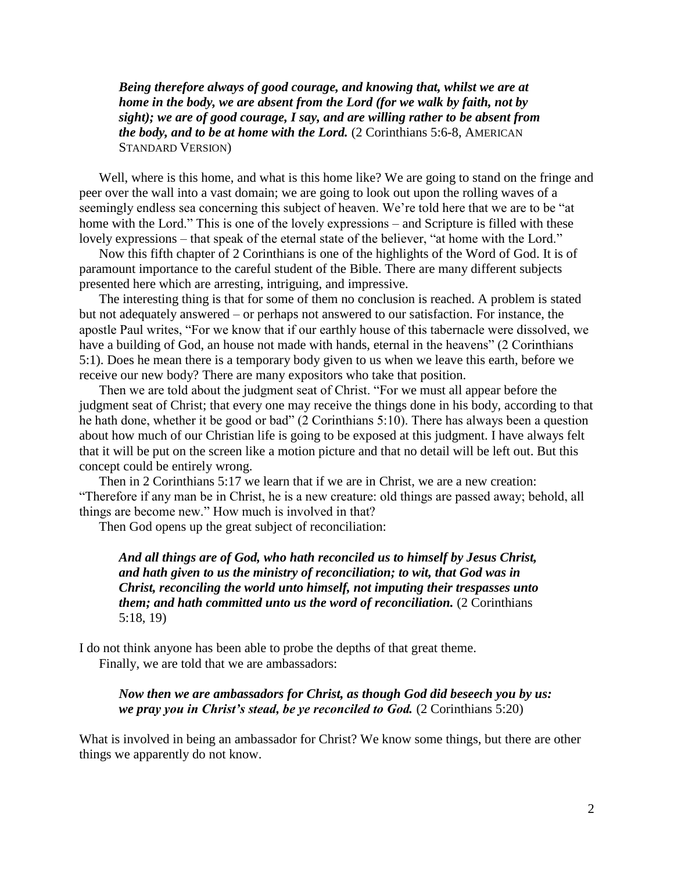*Being therefore always of good courage, and knowing that, whilst we are at home in the body, we are absent from the Lord (for we walk by faith, not by sight); we are of good courage, I say, and are willing rather to be absent from the body, and to be at home with the Lord.* (2 Corinthians 5:6-8, AMERICAN STANDARD VERSION)

Well, where is this home, and what is this home like? We are going to stand on the fringe and peer over the wall into a vast domain; we are going to look out upon the rolling waves of a seemingly endless sea concerning this subject of heaven. We're told here that we are to be "at home with the Lord." This is one of the lovely expressions – and Scripture is filled with these lovely expressions – that speak of the eternal state of the believer, "at home with the Lord."

Now this fifth chapter of 2 Corinthians is one of the highlights of the Word of God. It is of paramount importance to the careful student of the Bible. There are many different subjects presented here which are arresting, intriguing, and impressive.

The interesting thing is that for some of them no conclusion is reached. A problem is stated but not adequately answered – or perhaps not answered to our satisfaction. For instance, the apostle Paul writes, "For we know that if our earthly house of this tabernacle were dissolved, we have a building of God, an house not made with hands, eternal in the heavens" (2 Corinthians 5:1). Does he mean there is a temporary body given to us when we leave this earth, before we receive our new body? There are many expositors who take that position.

Then we are told about the judgment seat of Christ. "For we must all appear before the judgment seat of Christ; that every one may receive the things done in his body, according to that he hath done, whether it be good or bad" (2 Corinthians 5:10). There has always been a question about how much of our Christian life is going to be exposed at this judgment. I have always felt that it will be put on the screen like a motion picture and that no detail will be left out. But this concept could be entirely wrong.

Then in 2 Corinthians 5:17 we learn that if we are in Christ, we are a new creation: "Therefore if any man be in Christ, he is a new creature: old things are passed away; behold, all things are become new." How much is involved in that?

Then God opens up the great subject of reconciliation:

*And all things are of God, who hath reconciled us to himself by Jesus Christ, and hath given to us the ministry of reconciliation; to wit, that God was in Christ, reconciling the world unto himself, not imputing their trespasses unto them; and hath committed unto us the word of reconciliation.* (2 Corinthians 5:18, 19)

I do not think anyone has been able to probe the depths of that great theme. Finally, we are told that we are ambassadors:

## *Now then we are ambassadors for Christ, as though God did beseech you by us: we pray you in Christ's stead, be ye reconciled to God.* (2 Corinthians 5:20)

What is involved in being an ambassador for Christ? We know some things, but there are other things we apparently do not know.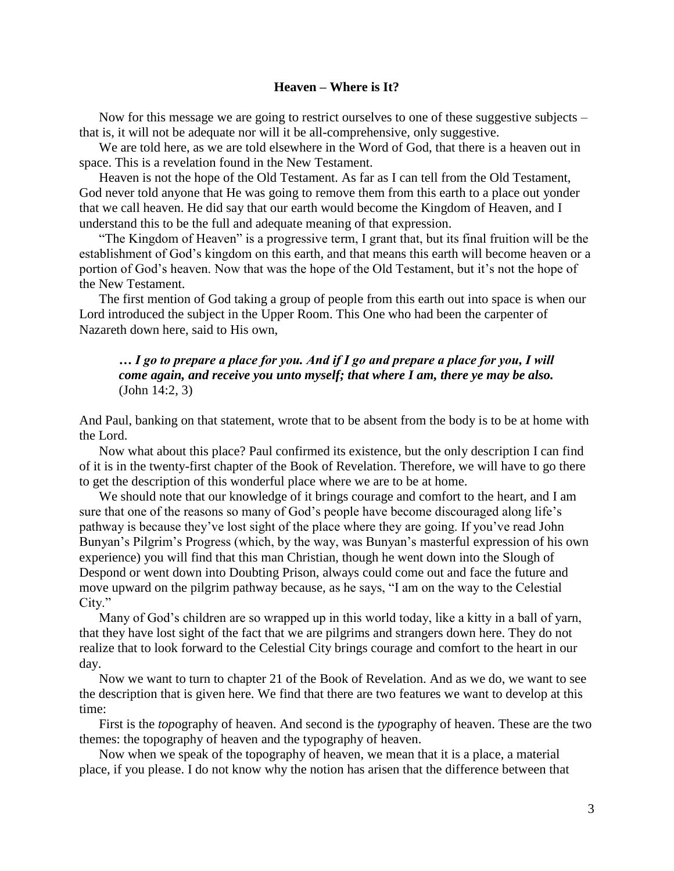#### **Heaven – Where is It?**

Now for this message we are going to restrict ourselves to one of these suggestive subjects – that is, it will not be adequate nor will it be all-comprehensive, only suggestive.

We are told here, as we are told elsewhere in the Word of God, that there is a heaven out in space. This is a revelation found in the New Testament.

Heaven is not the hope of the Old Testament. As far as I can tell from the Old Testament, God never told anyone that He was going to remove them from this earth to a place out yonder that we call heaven. He did say that our earth would become the Kingdom of Heaven, and I understand this to be the full and adequate meaning of that expression.

"The Kingdom of Heaven" is a progressive term, I grant that, but its final fruition will be the establishment of God's kingdom on this earth, and that means this earth will become heaven or a portion of God's heaven. Now that was the hope of the Old Testament, but it's not the hope of the New Testament.

The first mention of God taking a group of people from this earth out into space is when our Lord introduced the subject in the Upper Room. This One who had been the carpenter of Nazareth down here, said to His own,

# *… I go to prepare a place for you. And if I go and prepare a place for you, I will come again, and receive you unto myself; that where I am, there ye may be also.* (John 14:2, 3)

And Paul, banking on that statement, wrote that to be absent from the body is to be at home with the Lord.

Now what about this place? Paul confirmed its existence, but the only description I can find of it is in the twenty-first chapter of the Book of Revelation. Therefore, we will have to go there to get the description of this wonderful place where we are to be at home.

We should note that our knowledge of it brings courage and comfort to the heart, and I am sure that one of the reasons so many of God's people have become discouraged along life's pathway is because they've lost sight of the place where they are going. If you've read John Bunyan's Pilgrim's Progress (which, by the way, was Bunyan's masterful expression of his own experience) you will find that this man Christian, though he went down into the Slough of Despond or went down into Doubting Prison, always could come out and face the future and move upward on the pilgrim pathway because, as he says, "I am on the way to the Celestial City."

Many of God's children are so wrapped up in this world today, like a kitty in a ball of yarn, that they have lost sight of the fact that we are pilgrims and strangers down here. They do not realize that to look forward to the Celestial City brings courage and comfort to the heart in our day.

Now we want to turn to chapter 21 of the Book of Revelation. And as we do, we want to see the description that is given here. We find that there are two features we want to develop at this time:

First is the *top*ography of heaven. And second is the *typ*ography of heaven. These are the two themes: the topography of heaven and the typography of heaven.

Now when we speak of the topography of heaven, we mean that it is a place, a material place, if you please. I do not know why the notion has arisen that the difference between that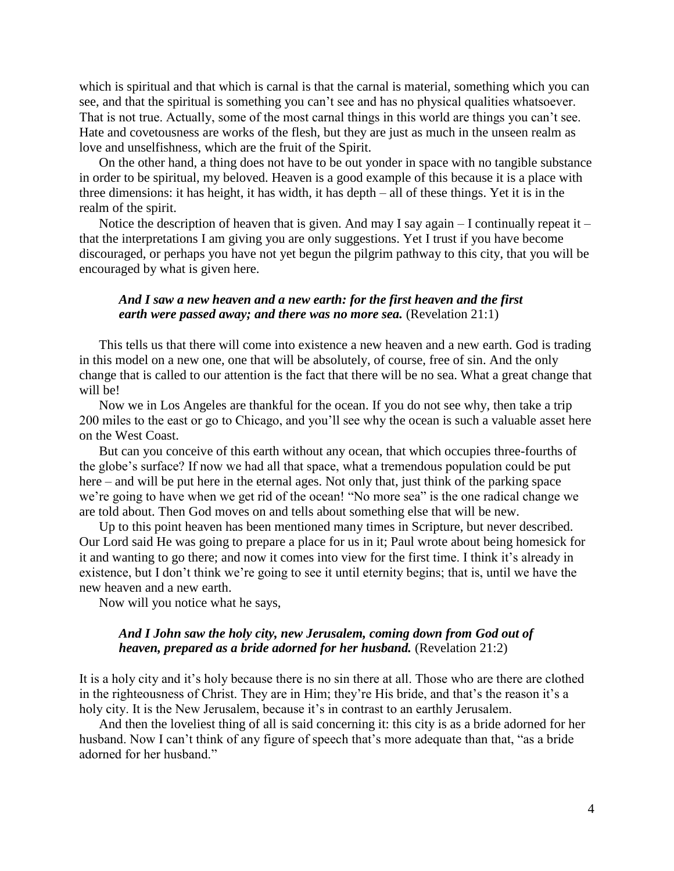which is spiritual and that which is carnal is that the carnal is material, something which you can see, and that the spiritual is something you can't see and has no physical qualities whatsoever. That is not true. Actually, some of the most carnal things in this world are things you can't see. Hate and covetousness are works of the flesh, but they are just as much in the unseen realm as love and unselfishness, which are the fruit of the Spirit.

On the other hand, a thing does not have to be out yonder in space with no tangible substance in order to be spiritual, my beloved. Heaven is a good example of this because it is a place with three dimensions: it has height, it has width, it has depth – all of these things. Yet it is in the realm of the spirit.

Notice the description of heaven that is given. And may I say again – I continually repeat it – that the interpretations I am giving you are only suggestions. Yet I trust if you have become discouraged, or perhaps you have not yet begun the pilgrim pathway to this city, that you will be encouraged by what is given here.

#### *And I saw a new heaven and a new earth: for the first heaven and the first earth were passed away; and there was no more sea.* (Revelation 21:1)

This tells us that there will come into existence a new heaven and a new earth. God is trading in this model on a new one, one that will be absolutely, of course, free of sin. And the only change that is called to our attention is the fact that there will be no sea. What a great change that will be!

Now we in Los Angeles are thankful for the ocean. If you do not see why, then take a trip 200 miles to the east or go to Chicago, and you'll see why the ocean is such a valuable asset here on the West Coast.

But can you conceive of this earth without any ocean, that which occupies three-fourths of the globe's surface? If now we had all that space, what a tremendous population could be put here – and will be put here in the eternal ages. Not only that, just think of the parking space we're going to have when we get rid of the ocean! "No more sea" is the one radical change we are told about. Then God moves on and tells about something else that will be new.

Up to this point heaven has been mentioned many times in Scripture, but never described. Our Lord said He was going to prepare a place for us in it; Paul wrote about being homesick for it and wanting to go there; and now it comes into view for the first time. I think it's already in existence, but I don't think we're going to see it until eternity begins; that is, until we have the new heaven and a new earth.

Now will you notice what he says,

## *And I John saw the holy city, new Jerusalem, coming down from God out of heaven, prepared as a bride adorned for her husband.* (Revelation 21:2)

It is a holy city and it's holy because there is no sin there at all. Those who are there are clothed in the righteousness of Christ. They are in Him; they're His bride, and that's the reason it's a holy city. It is the New Jerusalem, because it's in contrast to an earthly Jerusalem.

And then the loveliest thing of all is said concerning it: this city is as a bride adorned for her husband. Now I can't think of any figure of speech that's more adequate than that, "as a bride adorned for her husband."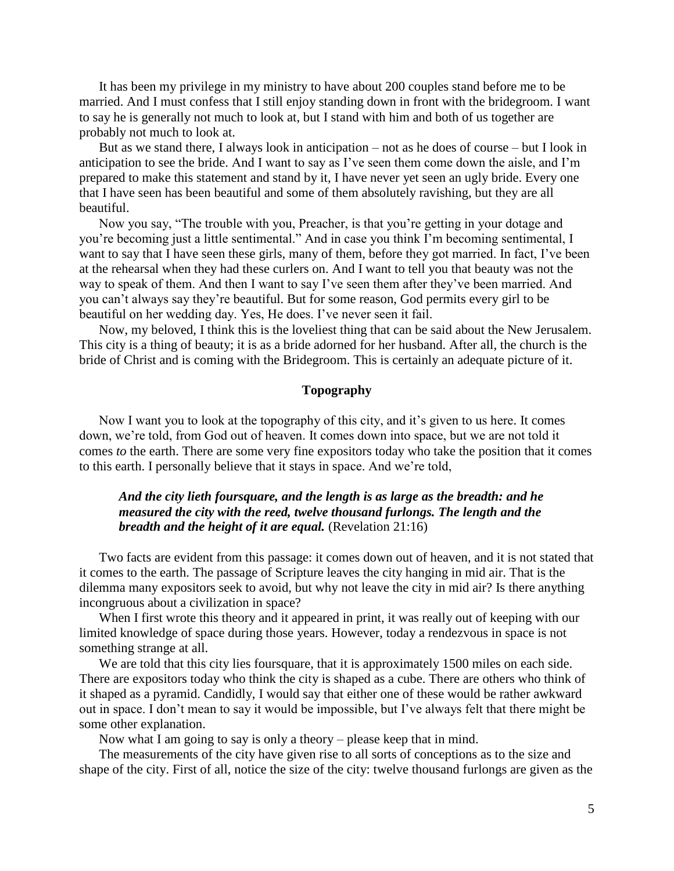It has been my privilege in my ministry to have about 200 couples stand before me to be married. And I must confess that I still enjoy standing down in front with the bridegroom. I want to say he is generally not much to look at, but I stand with him and both of us together are probably not much to look at.

But as we stand there, I always look in anticipation – not as he does of course – but I look in anticipation to see the bride. And I want to say as I've seen them come down the aisle, and I'm prepared to make this statement and stand by it, I have never yet seen an ugly bride. Every one that I have seen has been beautiful and some of them absolutely ravishing, but they are all beautiful.

Now you say, "The trouble with you, Preacher, is that you're getting in your dotage and you're becoming just a little sentimental." And in case you think I'm becoming sentimental, I want to say that I have seen these girls, many of them, before they got married. In fact, I've been at the rehearsal when they had these curlers on. And I want to tell you that beauty was not the way to speak of them. And then I want to say I've seen them after they've been married. And you can't always say they're beautiful. But for some reason, God permits every girl to be beautiful on her wedding day. Yes, He does. I've never seen it fail.

Now, my beloved, I think this is the loveliest thing that can be said about the New Jerusalem. This city is a thing of beauty; it is as a bride adorned for her husband. After all, the church is the bride of Christ and is coming with the Bridegroom. This is certainly an adequate picture of it.

#### **Topography**

Now I want you to look at the topography of this city, and it's given to us here. It comes down, we're told, from God out of heaven. It comes down into space, but we are not told it comes *to* the earth. There are some very fine expositors today who take the position that it comes to this earth. I personally believe that it stays in space. And we're told,

# *And the city lieth foursquare, and the length is as large as the breadth: and he measured the city with the reed, twelve thousand furlongs. The length and the breadth and the height of it are equal.* (Revelation 21:16)

Two facts are evident from this passage: it comes down out of heaven, and it is not stated that it comes to the earth. The passage of Scripture leaves the city hanging in mid air. That is the dilemma many expositors seek to avoid, but why not leave the city in mid air? Is there anything incongruous about a civilization in space?

When I first wrote this theory and it appeared in print, it was really out of keeping with our limited knowledge of space during those years. However, today a rendezvous in space is not something strange at all.

We are told that this city lies foursquare, that it is approximately 1500 miles on each side. There are expositors today who think the city is shaped as a cube. There are others who think of it shaped as a pyramid. Candidly, I would say that either one of these would be rather awkward out in space. I don't mean to say it would be impossible, but I've always felt that there might be some other explanation.

Now what I am going to say is only a theory – please keep that in mind.

The measurements of the city have given rise to all sorts of conceptions as to the size and shape of the city. First of all, notice the size of the city: twelve thousand furlongs are given as the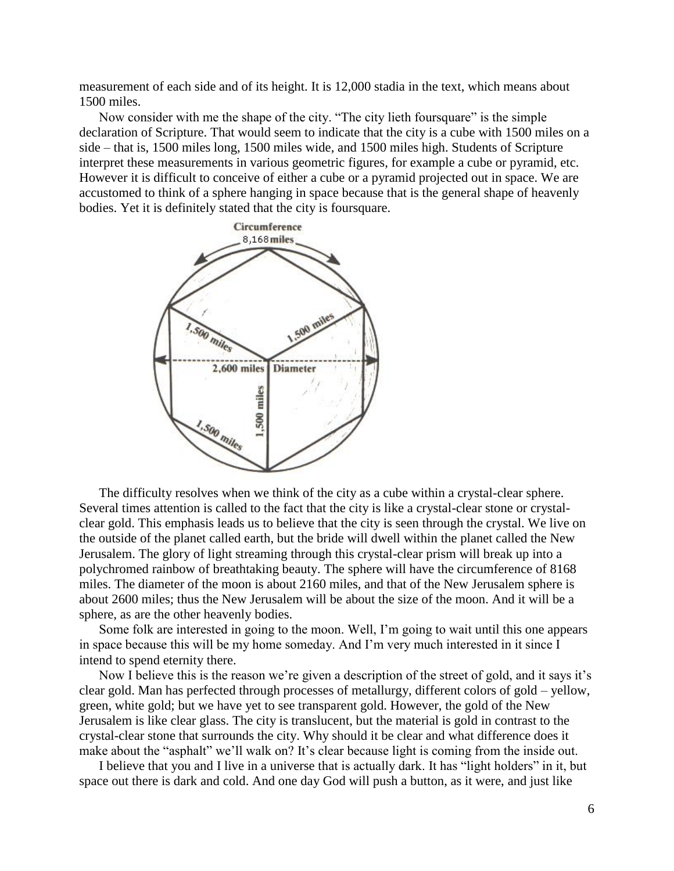measurement of each side and of its height. It is 12,000 stadia in the text, which means about 1500 miles.

Now consider with me the shape of the city. "The city lieth foursquare" is the simple declaration of Scripture. That would seem to indicate that the city is a cube with 1500 miles on a side – that is, 1500 miles long, 1500 miles wide, and 1500 miles high. Students of Scripture interpret these measurements in various geometric figures, for example a cube or pyramid, etc. However it is difficult to conceive of either a cube or a pyramid projected out in space. We are accustomed to think of a sphere hanging in space because that is the general shape of heavenly bodies. Yet it is definitely stated that the city is foursquare.



The difficulty resolves when we think of the city as a cube within a crystal-clear sphere. Several times attention is called to the fact that the city is like a crystal-clear stone or crystalclear gold. This emphasis leads us to believe that the city is seen through the crystal. We live on the outside of the planet called earth, but the bride will dwell within the planet called the New Jerusalem. The glory of light streaming through this crystal-clear prism will break up into a polychromed rainbow of breathtaking beauty. The sphere will have the circumference of 8168 miles. The diameter of the moon is about 2160 miles, and that of the New Jerusalem sphere is about 2600 miles; thus the New Jerusalem will be about the size of the moon. And it will be a sphere, as are the other heavenly bodies.

Some folk are interested in going to the moon. Well, I'm going to wait until this one appears in space because this will be my home someday. And I'm very much interested in it since I intend to spend eternity there.

Now I believe this is the reason we're given a description of the street of gold, and it says it's clear gold. Man has perfected through processes of metallurgy, different colors of gold – yellow, green, white gold; but we have yet to see transparent gold. However, the gold of the New Jerusalem is like clear glass. The city is translucent, but the material is gold in contrast to the crystal-clear stone that surrounds the city. Why should it be clear and what difference does it make about the "asphalt" we'll walk on? It's clear because light is coming from the inside out.

I believe that you and I live in a universe that is actually dark. It has "light holders" in it, but space out there is dark and cold. And one day God will push a button, as it were, and just like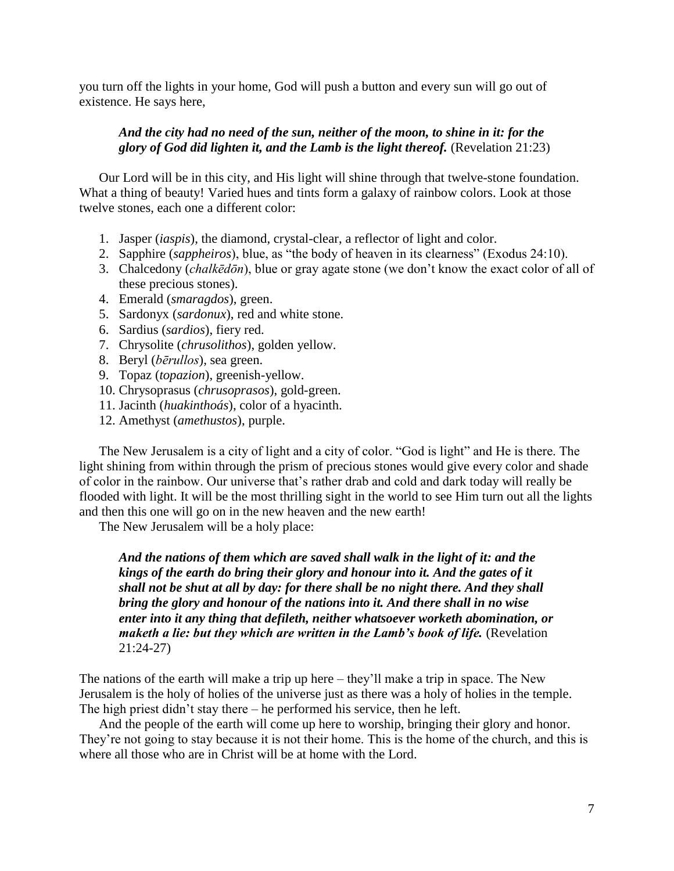you turn off the lights in your home, God will push a button and every sun will go out of existence. He says here,

# *And the city had no need of the sun, neither of the moon, to shine in it: for the glory of God did lighten it, and the Lamb is the light thereof.* (Revelation 21:23)

Our Lord will be in this city, and His light will shine through that twelve-stone foundation. What a thing of beauty! Varied hues and tints form a galaxy of rainbow colors. Look at those twelve stones, each one a different color:

- 1. Jasper (*iaspis*), the diamond, crystal-clear, a reflector of light and color.
- 2. Sapphire (*sappheiros*), blue, as "the body of heaven in its clearness" (Exodus 24:10).
- 3. Chalcedony (*chalkēdōn*), blue or gray agate stone (we don't know the exact color of all of these precious stones).
- 4. Emerald (*smaragdos*), green.
- 5. Sardonyx (*sardonux*), red and white stone.
- 6. Sardius (*sardios*), fiery red.
- 7. Chrysolite (*chrusolithos*), golden yellow.
- 8. Beryl (*bērullos*), sea green.
- 9. Topaz (*topazion*), greenish-yellow.
- 10. Chrysoprasus (*chrusoprasos*), gold-green.
- 11. Jacinth (*huakinthoás*), color of a hyacinth.
- 12. Amethyst (*amethustos*), purple.

The New Jerusalem is a city of light and a city of color. "God is light" and He is there. The light shining from within through the prism of precious stones would give every color and shade of color in the rainbow. Our universe that's rather drab and cold and dark today will really be flooded with light. It will be the most thrilling sight in the world to see Him turn out all the lights and then this one will go on in the new heaven and the new earth!

The New Jerusalem will be a holy place:

*And the nations of them which are saved shall walk in the light of it: and the kings of the earth do bring their glory and honour into it. And the gates of it shall not be shut at all by day: for there shall be no night there. And they shall bring the glory and honour of the nations into it. And there shall in no wise enter into it any thing that defileth, neither whatsoever worketh abomination, or maketh a lie: but they which are written in the Lamb's book of life.* (Revelation 21:24-27)

The nations of the earth will make a trip up here – they'll make a trip in space. The New Jerusalem is the holy of holies of the universe just as there was a holy of holies in the temple. The high priest didn't stay there – he performed his service, then he left.

And the people of the earth will come up here to worship, bringing their glory and honor. They're not going to stay because it is not their home. This is the home of the church, and this is where all those who are in Christ will be at home with the Lord.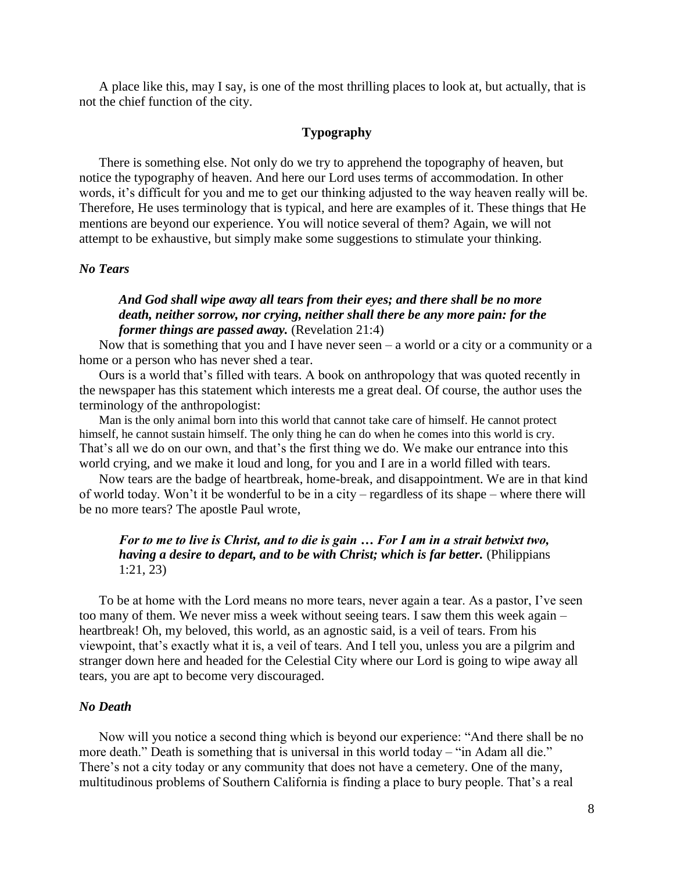A place like this, may I say, is one of the most thrilling places to look at, but actually, that is not the chief function of the city.

#### **Typography**

There is something else. Not only do we try to apprehend the topography of heaven, but notice the typography of heaven. And here our Lord uses terms of accommodation. In other words, it's difficult for you and me to get our thinking adjusted to the way heaven really will be. Therefore, He uses terminology that is typical, and here are examples of it. These things that He mentions are beyond our experience. You will notice several of them? Again, we will not attempt to be exhaustive, but simply make some suggestions to stimulate your thinking.

# *No Tears*

# *And God shall wipe away all tears from their eyes; and there shall be no more death, neither sorrow, nor crying, neither shall there be any more pain: for the former things are passed away.* (Revelation 21:4)

Now that is something that you and I have never seen  $-$  a world or a city or a community or a home or a person who has never shed a tear.

Ours is a world that's filled with tears. A book on anthropology that was quoted recently in the newspaper has this statement which interests me a great deal. Of course, the author uses the terminology of the anthropologist:

Man is the only animal born into this world that cannot take care of himself. He cannot protect himself, he cannot sustain himself. The only thing he can do when he comes into this world is cry. That's all we do on our own, and that's the first thing we do. We make our entrance into this world crying, and we make it loud and long, for you and I are in a world filled with tears.

Now tears are the badge of heartbreak, home-break, and disappointment. We are in that kind of world today. Won't it be wonderful to be in a city – regardless of its shape – where there will be no more tears? The apostle Paul wrote,

# *For to me to live is Christ, and to die is gain … For I am in a strait betwixt two, having a desire to depart, and to be with Christ; which is far better.* (Philippians 1:21, 23)

To be at home with the Lord means no more tears, never again a tear. As a pastor, I've seen too many of them. We never miss a week without seeing tears. I saw them this week again – heartbreak! Oh, my beloved, this world, as an agnostic said, is a veil of tears. From his viewpoint, that's exactly what it is, a veil of tears. And I tell you, unless you are a pilgrim and stranger down here and headed for the Celestial City where our Lord is going to wipe away all tears, you are apt to become very discouraged.

### *No Death*

Now will you notice a second thing which is beyond our experience: "And there shall be no more death." Death is something that is universal in this world today – "in Adam all die." There's not a city today or any community that does not have a cemetery. One of the many, multitudinous problems of Southern California is finding a place to bury people. That's a real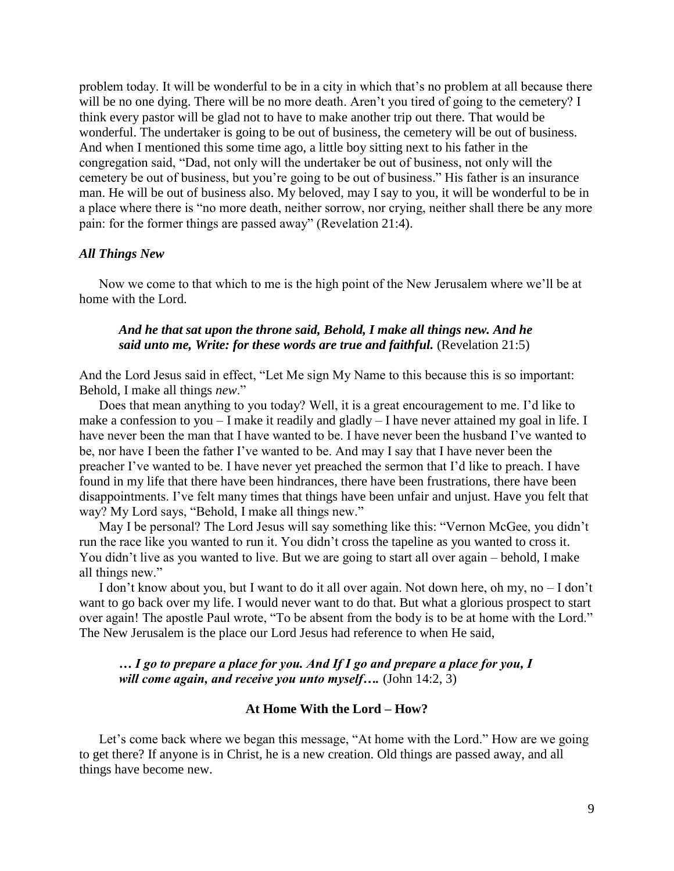problem today. It will be wonderful to be in a city in which that's no problem at all because there will be no one dying. There will be no more death. Aren't you tired of going to the cemetery? I think every pastor will be glad not to have to make another trip out there. That would be wonderful. The undertaker is going to be out of business, the cemetery will be out of business. And when I mentioned this some time ago, a little boy sitting next to his father in the congregation said, "Dad, not only will the undertaker be out of business, not only will the cemetery be out of business, but you're going to be out of business." His father is an insurance man. He will be out of business also. My beloved, may I say to you, it will be wonderful to be in a place where there is "no more death, neither sorrow, nor crying, neither shall there be any more pain: for the former things are passed away" (Revelation 21:4).

#### *All Things New*

Now we come to that which to me is the high point of the New Jerusalem where we'll be at home with the Lord.

# *And he that sat upon the throne said, Behold, I make all things new. And he said unto me, Write: for these words are true and faithful.* (Revelation 21:5)

And the Lord Jesus said in effect, "Let Me sign My Name to this because this is so important: Behold, I make all things *new*."

Does that mean anything to you today? Well, it is a great encouragement to me. I'd like to make a confession to you – I make it readily and gladly – I have never attained my goal in life. I have never been the man that I have wanted to be. I have never been the husband I've wanted to be, nor have I been the father I've wanted to be. And may I say that I have never been the preacher I've wanted to be. I have never yet preached the sermon that I'd like to preach. I have found in my life that there have been hindrances, there have been frustrations, there have been disappointments. I've felt many times that things have been unfair and unjust. Have you felt that way? My Lord says, "Behold, I make all things new."

May I be personal? The Lord Jesus will say something like this: "Vernon McGee, you didn't run the race like you wanted to run it. You didn't cross the tapeline as you wanted to cross it. You didn't live as you wanted to live. But we are going to start all over again – behold, I make all things new."

I don't know about you, but I want to do it all over again. Not down here, oh my, no – I don't want to go back over my life. I would never want to do that. But what a glorious prospect to start over again! The apostle Paul wrote, "To be absent from the body is to be at home with the Lord." The New Jerusalem is the place our Lord Jesus had reference to when He said,

*… I go to prepare a place for you. And If I go and prepare a place for you, I will come again, and receive you unto myself….* (John 14:2, 3)

#### **At Home With the Lord – How?**

Let's come back where we began this message, "At home with the Lord." How are we going to get there? If anyone is in Christ, he is a new creation. Old things are passed away, and all things have become new.